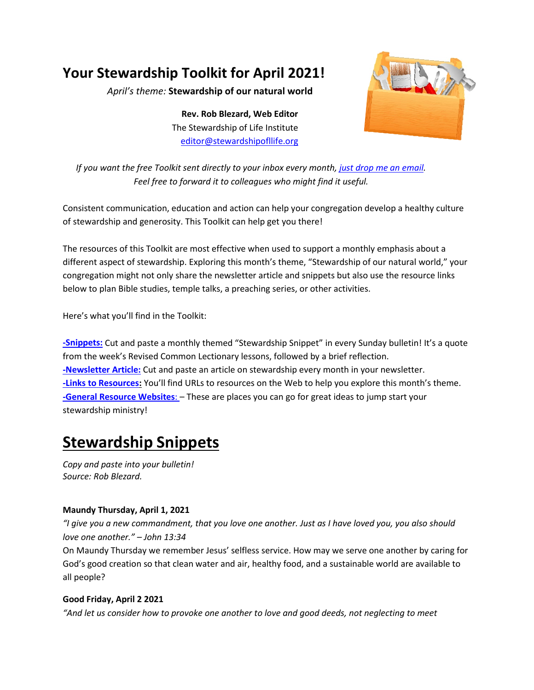## **Your Stewardship Toolkit for April 2021!**

*April's theme:* **Stewardship of our natural world**

**Rev. Rob Blezard, Web Editor** The Stewardship of Life Institute [editor@stewardshipofllife.org](mailto:editor@stewardshipofllife.org)



*If you want the free Toolkit sent directly to your inbox every month, just drop [me an email.](mailto:editor@stewardshipoflife.org?subject=Monthly%20Toolkit%20Susbscription) Feel free to forward it to colleagues who might find it useful.*

Consistent communication, education and action can help your congregation develop a healthy culture of stewardship and generosity. This Toolkit can help get you there!

The resources of this Toolkit are most effective when used to support a monthly emphasis about a different aspect of stewardship. Exploring this month's theme, "Stewardship of our natural world," your congregation might not only share the newsletter article and snippets but also use the resource links below to plan Bible studies, temple talks, a preaching series, or other activities.

Here's what you'll find in the Toolkit:

**[-Snippets:](#page-0-0)** Cut and paste a monthly themed "Stewardship Snippet" in every Sunday bulletin! It's a quote from the week's Revised Common Lectionary lessons, followed by a brief reflection. **[-Newsletter Article:](#page-2-0)** Cut and paste an article on stewardship every month in your newsletter. **[-Links to Resources:](#page-3-0)** You'll find URLs to resources on the Web to help you explore this month's theme. **[-General Resource Websites](#page-4-0)**: – These are places you can go for great ideas to jump start your stewardship ministry!

# <span id="page-0-0"></span>**Stewardship Snippets**

*Copy and paste into your bulletin! Source: Rob Blezard.*

#### **Maundy Thursday, April 1, 2021**

*"I give you a new commandment, that you love one another. Just as I have loved you, you also should love one another." – John 13:34*

On Maundy Thursday we remember Jesus' selfless service. How may we serve one another by caring for God's good creation so that clean water and air, healthy food, and a sustainable world are available to all people?

#### **Good Friday, April 2 2021**

*"And let us consider how to provoke one another to love and good deeds, not neglecting to meet*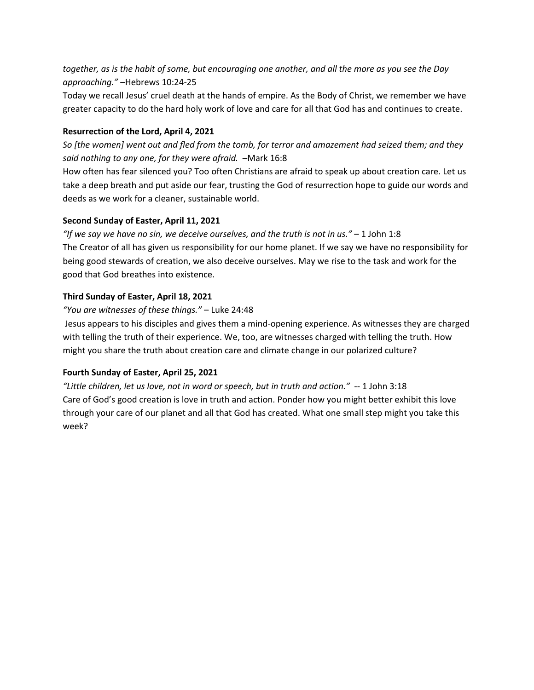*together, as is the habit of some, but encouraging one another, and all the more as you see the Day approaching."* –Hebrews 10:24-25

Today we recall Jesus' cruel death at the hands of empire. As the Body of Christ, we remember we have greater capacity to do the hard holy work of love and care for all that God has and continues to create.

#### **Resurrection of the Lord, April 4, 2021**

*So [the women] went out and fled from the tomb, for terror and amazement had seized them; and they said nothing to any one, for they were afraid.* –Mark 16:8

How often has fear silenced you? Too often Christians are afraid to speak up about creation care. Let us take a deep breath and put aside our fear, trusting the God of resurrection hope to guide our words and deeds as we work for a cleaner, sustainable world.

#### **Second Sunday of Easter, April 11, 2021**

*"If we say we have no sin, we deceive ourselves, and the truth is not in us."* – 1 John 1:8 The Creator of all has given us responsibility for our home planet. If we say we have no responsibility for being good stewards of creation, we also deceive ourselves. May we rise to the task and work for the good that God breathes into existence.

#### **Third Sunday of Easter, April 18, 2021**

#### *"You are witnesses of these things."* – Luke 24:48

Jesus appears to his disciples and gives them a mind-opening experience. As witnesses they are charged with telling the truth of their experience. We, too, are witnesses charged with telling the truth. How might you share the truth about creation care and climate change in our polarized culture?

#### **Fourth Sunday of Easter, April 25, 2021**

*"Little children, let us love, not in word or speech, but in truth and action."* -- 1 John 3:18 Care of God's good creation is love in truth and action. Ponder how you might better exhibit this love through your care of our planet and all that God has created. What one small step might you take this week?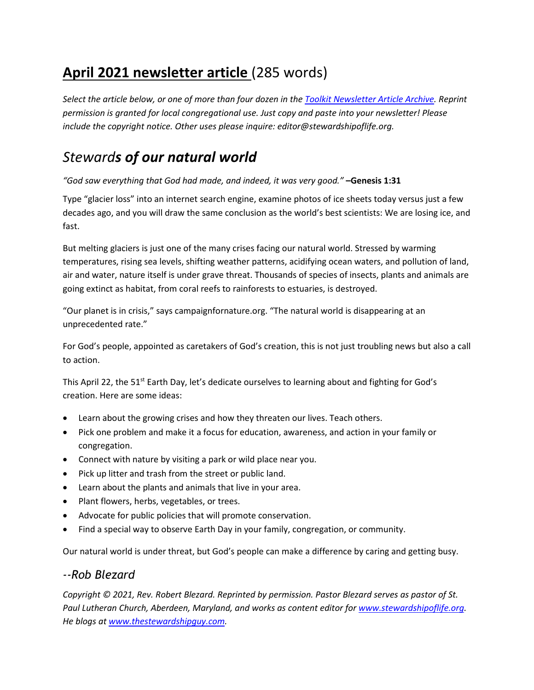## <span id="page-2-0"></span>**April 2021 newsletter article** (285 words)

*Select the article below, or one of more than four dozen in th[e Toolkit Newsletter Article Archive.](https://thestewardshipguy.com/newsletter-articles/) Reprint permission is granted for local congregational use. Just copy and paste into your newsletter! Please include the copyright notice. Other uses please inquire: editor@stewardshipoflife.org.*

### *Stewards of our natural world*

*"God saw everything that God had made, and indeed, it was very good."* **–Genesis 1:31**

Type "glacier loss" into an internet search engine, examine photos of ice sheets today versus just a few decades ago, and you will draw the same conclusion as the world's best scientists: We are losing ice, and fast.

But melting glaciers is just one of the many crises facing our natural world. Stressed by warming temperatures, rising sea levels, shifting weather patterns, acidifying ocean waters, and pollution of land, air and water, nature itself is under grave threat. Thousands of species of insects, plants and animals are going extinct as habitat, from coral reefs to rainforests to estuaries, is destroyed.

"Our planet is in crisis," says campaignfornature.org. "The natural world is disappearing at an unprecedented rate."

For God's people, appointed as caretakers of God's creation, this is not just troubling news but also a call to action.

This April 22, the 51<sup>st</sup> Earth Day, let's dedicate ourselves to learning about and fighting for God's creation. Here are some ideas:

- Learn about the growing crises and how they threaten our lives. Teach others.
- Pick one problem and make it a focus for education, awareness, and action in your family or congregation.
- Connect with nature by visiting a park or wild place near you.
- Pick up litter and trash from the street or public land.
- Learn about the plants and animals that live in your area.
- Plant flowers, herbs, vegetables, or trees.
- Advocate for public policies that will promote conservation.
- Find a special way to observe Earth Day in your family, congregation, or community.

Our natural world is under threat, but God's people can make a difference by caring and getting busy.

### *--Rob Blezard*

*Copyright © 2021, Rev. Robert Blezard. Reprinted by permission. Pastor Blezard serves as pastor of St. Paul Lutheran Church, Aberdeen, Maryland, and works as content editor for [www.stewardshipoflife.org.](http://www.stewardshipoflife.org/) He blogs at www.thestewardshipguy.com.*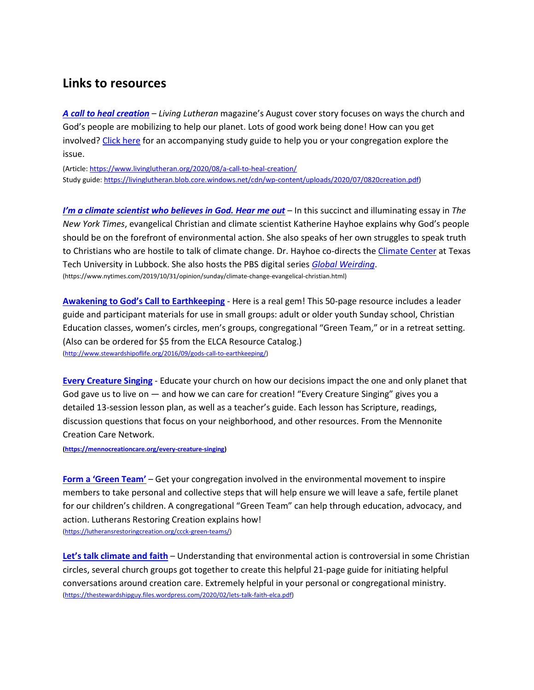### <span id="page-3-0"></span>**Links to resources**

*[A call to heal creation](https://www.livinglutheran.org/2020/08/a-call-to-heal-creation/)* – *Living Lutheran* magazine's August cover story focuses on ways the church and God's people are mobilizing to help our planet. Lots of good work being done! How can you get involved[? Click here](https://livinglutheran.blob.core.windows.net/cdn/wp-content/uploads/2020/07/0820creation.pdf) for an accompanying study guide to help you or your congregation explore the issue.

(Article:<https://www.livinglutheran.org/2020/08/a-call-to-heal-creation/> Study guide[: https://livinglutheran.blob.core.windows.net/cdn/wp-content/uploads/2020/07/0820creation.pdf\)](https://livinglutheran.blob.core.windows.net/cdn/wp-content/uploads/2020/07/0820creation.pdf)

*[I'm a climate scientist who believes in God. Hear me out](https://www.nytimes.com/2019/10/31/opinion/sunday/climate-change-evangelical-christian.html)* – In this succinct and illuminating essay in *The New York Times*, evangelical Christian and climate scientist Katherine Hayhoe explains why God's people should be on the forefront of environmental action. She also speaks of her own struggles to speak truth to Christians who are hostile to talk of climate change. Dr. Hayhoe co-directs the [Climate Center](https://www.depts.ttu.edu/csc/) at Texas Tech University in Lubbock. She also hosts the PBS digital series *[Global Weirding](http://www.globalweirdingseries.com/)*. (https://www.nytimes.com/2019/10/31/opinion/sunday/climate-change-evangelical-christian.html)

**[Awakening to God's Call to Earthkeeping](http://www.stewardshipoflife.org/2016/09/gods-call-to-earthkeeping/)** - Here is a real gem! This 50-page resource includes a leader guide and participant materials for use in small groups: adult or older youth Sunday school, Christian Education classes, women's circles, men's groups, congregational "Green Team," or in a retreat setting. (Also can be ordered for \$5 from the ELCA Resource Catalog.) [\(http://www.stewardshipoflife.org/2016/09/gods-call-to-earthkeeping/\)](http://www.stewardshipoflife.org/2016/09/gods-call-to-earthkeeping/)

**[Every Creature Singing](https://mennocreationcare.org/every-creature-singing)** - Educate your church on how our decisions impact the one and only planet that God gave us to live on — and how we can care for creation! "Every Creature Singing" gives you a detailed 13-session lesson plan, as well as a teacher's guide. Each lesson has Scripture, readings, discussion questions that focus on your neighborhood, and other resources. From the Mennonite Creation Care Network.

**[\(https://mennocreationcare.org/every-creature-singing\)](https://mennocreationcare.org/every-creature-singing)**

[Form a 'Green Team'](https://lutheransrestoringcreation.org/ccck-green-teams/) – Get your congregation involved in the environmental movement to inspire members to take personal and collective steps that will help ensure we will leave a safe, fertile planet for our children's children. A congregational "Green Team" can help through education, advocacy, and action. Lutherans Restoring Creation explains how! [\(https://lutheransrestoringcreation.org/ccck-green-teams/\)](https://lutheransrestoringcreation.org/ccck-green-teams/)

**[Let's talk climate and faith](https://thestewardshipguy.files.wordpress.com/2020/02/lets-talk-faith-elca.pdf)** – Understanding that environmental action is controversial in some Christian circles, several church groups got together to create this helpful 21-page guide for initiating helpful conversations around creation care. Extremely helpful in your personal or congregational ministry. [\(https://thestewardshipguy.files.wordpress.com/2020/02/lets-talk-faith-elca.pdf\)](https://thestewardshipguy.files.wordpress.com/2020/02/lets-talk-faith-elca.pdf)